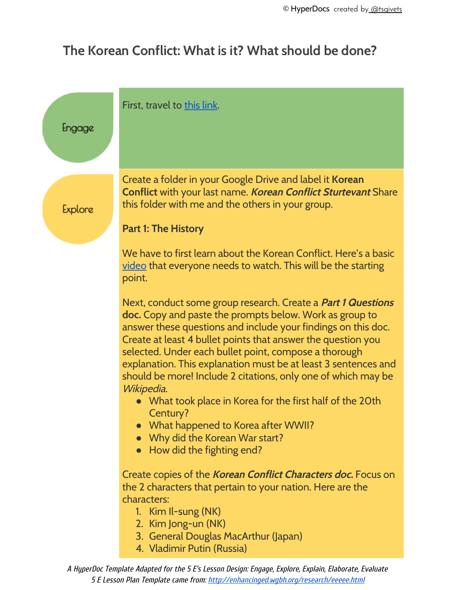## **The Korean Conflict: What is it? What should be done?**

| Engage         | First, travel to this link.                                                                                                                                                                                                                                                                                                                                                                                                                                                                                                                                                                                                                          |
|----------------|------------------------------------------------------------------------------------------------------------------------------------------------------------------------------------------------------------------------------------------------------------------------------------------------------------------------------------------------------------------------------------------------------------------------------------------------------------------------------------------------------------------------------------------------------------------------------------------------------------------------------------------------------|
| <b>Explore</b> | Create a folder in your Google Drive and label it Korean<br><b>Conflict with your last name. Korean Conflict Sturtevant Share</b><br>this folder with me and the others in your group.<br><b>Part 1: The History</b>                                                                                                                                                                                                                                                                                                                                                                                                                                 |
|                | We have to first learn about the Korean Conflict. Here's a basic<br>video that everyone needs to watch. This will be the starting<br>point.                                                                                                                                                                                                                                                                                                                                                                                                                                                                                                          |
|                | Next, conduct some group research. Create a Part 1 Questions<br><b>doc.</b> Copy and paste the prompts below. Work as group to<br>answer these questions and include your findings on this doc.<br>Create at least 4 bullet points that answer the question you<br>selected. Under each bullet point, compose a thorough<br>explanation. This explanation must be at least 3 sentences and<br>should be more! Include 2 citations, only one of which may be<br>Wikipedia.<br>What took place in Korea for the first half of the 20th<br>Century?<br>What happened to Korea after WWII?<br>Why did the Korean War start?<br>How did the fighting end? |
|                | Create copies of the Korean Conflict Characters doc. Focus on<br>the 2 characters that pertain to your nation. Here are the<br>characters:<br>1. Kim Il-sung (NK)<br>2. Kim Jong-un (NK)<br>3. General Douglas MacArthur (Japan)<br>4. Vladimir Putin (Russia)                                                                                                                                                                                                                                                                                                                                                                                       |

A HyperDoc Template Adapted for the 5 E's Lesson Design: Engage, Explore, Explain, Elaborate, Evaluate 5 E Lesson Plan Template came from: <http://enhancinged.wgbh.org/research/eeeee.html>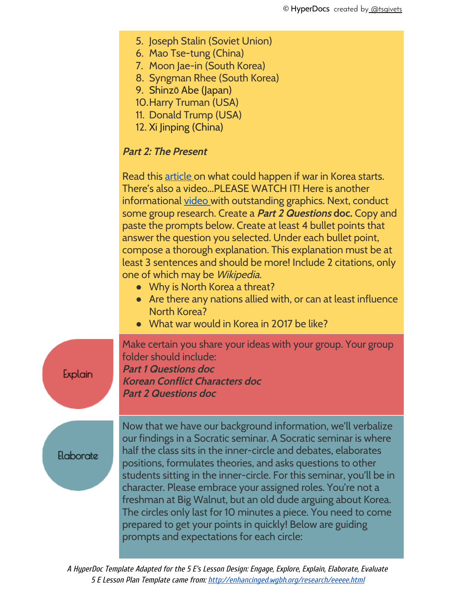- 5. Joseph Stalin (Soviet Union)
- 6. Mao Tse-tung (China)
- 7. Moon Jae-in (South Korea)
- 8. Syngman Rhee (South Korea)
- 9. Shinzō Abe (Japan)
- 10.Harry Truman (USA)
- 11. Donald Trump (USA)
- 12. Xi Jinping (China)

## **Part 2: The Present**

Read this [article](http://www.newsweek.com/2017/05/05/what-war-north-korea-looks-588861.html) on what could happen if war in Korea starts. There's also a video...PLEASE WATCH IT! Here is another informational [video](https://www.youtube.com/watch?v=w10dgthpDqY) with outstanding graphics. Next, conduct some group research. Create a **Part <sup>2</sup> Questions doc.** Copy and paste the prompts below. Create at least 4 bullet points that answer the question you selected. Under each bullet point, compose a thorough explanation. This explanation must be at least 3 sentences and should be more! Include 2 citations, only one of which may be Wikipedia.

- Why is North Korea a threat?
- Are there any nations allied with, or can at least influence North Korea?
- What war would in Korea in 2017 be like?

Make certain you share your ideas with your group. Your group folder should include: **Part 1 Questions doc Korean Conflict Characters doc Part 2 Questions doc**

Elaborate

Explain

Now that we have our background information, we'll verbalize our findings in a Socratic seminar. A Socratic seminar is where half the class sits in the inner-circle and debates, elaborates positions, formulates theories, and asks questions to other students sitting in the inner-circle. For this seminar, you'll be in character. Please embrace your assigned roles. You're not a freshman at Big Walnut, but an old dude arguing about Korea. The circles only last for 10 minutes a piece. You need to come prepared to get your points in quickly! Below are guiding prompts and expectations for each circle:

A HyperDoc Template Adapted for the 5 E's Lesson Design: Engage, Explore, Explain, Elaborate, Evaluate 5 E Lesson Plan Template came from: <http://enhancinged.wgbh.org/research/eeeee.html>